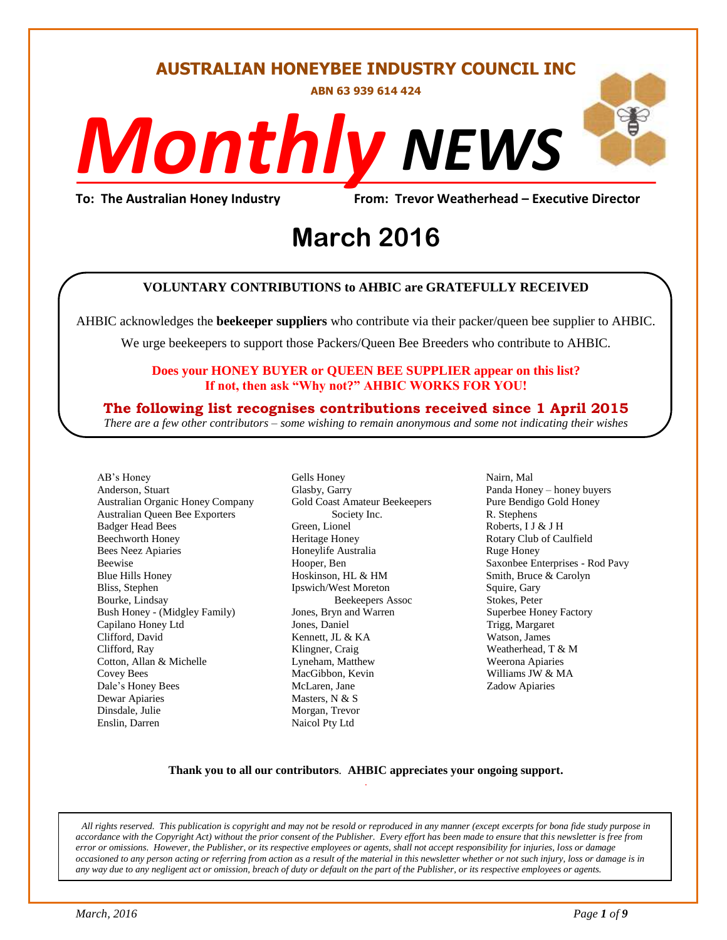#### **AUSTRALIAN HONEYBEE INDUSTRY COUNCIL INC**

**ABN 63 939 614 424**

# *NEWS Monthly*

**To: The Australian Honey Industry From: Trevor Weatherhead – Executive Director**

# From: Trevor Weather<br> **March** 2016

#### **VOLUNTARY CONTRIBUTIONS to AHBIC are GRATEFULLY RECEIVED**

AHBIC acknowledges the **beekeeper suppliers** who contribute via their packer/queen bee supplier to AHBIC.

We urge beekeepers to support those Packers/Queen Bee Breeders who contribute to AHBIC.

#### **Does your HONEY BUYER or QUEEN BEE SUPPLIER appear on this list? If not, then ask "Why not?" AHBIC WORKS FOR YOU!**

#### **The following list recognises contributions received since 1 April 2015**

*There are a few other contributors – some wishing to remain anonymous and some not indicating their wishes*

AB's Honey Anderson, Stuart Australian Organic Honey Company Australian Queen Bee Exporters Badger Head Bees Beechworth Honey Bees Neez Apiaries Beewise Blue Hills Honey Bliss, Stephen Bourke, Lindsay Bush Honey - (Midgley Family) Capilano Honey Ltd Clifford, David Clifford, Ray Cotton, Allan & Michelle Covey Bees Dale's Honey Bees Dewar Apiaries Dinsdale, Julie Enslin, Darren

Gells Honey Glasby, Garry Gold Coast Amateur Beekeepers Society Inc. Green, Lionel Heritage Honey Honeylife Australia Hooper, Ben Hoskinson, HL & HM Ipswich/West Moreton Beekeepers Assoc Jones, Bryn and Warren Jones, Daniel Kennett, JL & KA Klingner, Craig Lyneham, Matthew MacGibbon, Kevin McLaren, Jane Masters, N & S Morgan, Trevor Naicol Pty Ltd

Nairn, Mal Panda Honey – honey buyers Pure Bendigo Gold Honey R. Stephens Roberts, I J & J H Rotary Club of Caulfield Ruge Honey Saxonbee Enterprises - Rod Pavy Smith, Bruce & Carolyn Squire, Gary Stokes, Peter Superbee Honey Factory Trigg, Margaret Watson, James Weatherhead, T & M Weerona Apiaries Williams JW & MA Zadow Apiaries

#### **Thank you to all our contributors***.* **AHBIC appreciates your ongoing support.** .

*All rights reserved. This publication is copyright and may not be resold or reproduced in any manner (except excerpts for bona fide study purpose in accordance with the Copyright Act) without the prior consent of the Publisher. Every effort has been made to ensure that this newsletter is free from error or omissions. However, the Publisher, or its respective employees or agents, shall not accept responsibility for injuries, loss or damage occasioned to any person acting or referring from action as a result of the material in this newsletter whether or not such injury, loss or damage is in any way due to any negligent act or omission, breach of duty or default on the part of the Publisher, or its respective employees or agents.*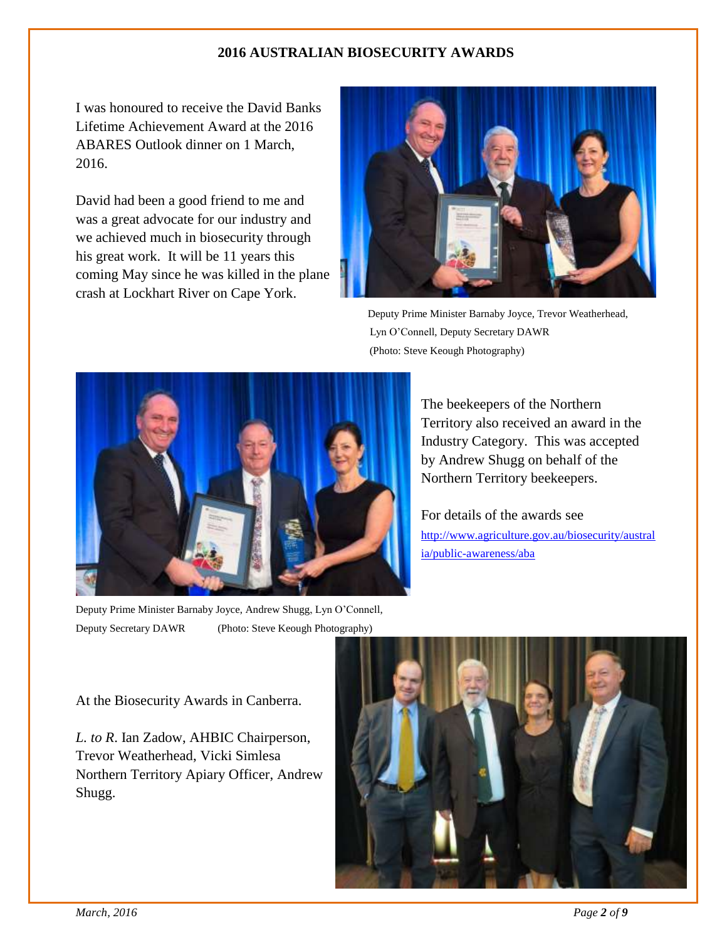#### **2016 AUSTRALIAN BIOSECURITY AWARDS**

I was honoured to receive the David Banks Lifetime Achievement Award at the 2016 ABARES Outlook dinner on 1 March, 2016.

David had been a good friend to me and was a great advocate for our industry and we achieved much in biosecurity through his great work. It will be 11 years this coming May since he was killed in the plane crash at Lockhart River on Cape York.



 Deputy Prime Minister Barnaby Joyce, Trevor Weatherhead, Lyn O'Connell, Deputy Secretary DAWR (Photo: Steve Keough Photography)



Deputy Prime Minister Barnaby Joyce, Andrew Shugg, Lyn O'Connell, Deputy Secretary DAWR (Photo: Steve Keough Photography)

The beekeepers of the Northern Territory also received an award in the Industry Category. This was accepted by Andrew Shugg on behalf of the Northern Territory beekeepers.

For details of the awards see [http://www.agriculture.gov.au/biosecurity/austral](http://www.agriculture.gov.au/biosecurity/australia/public-awareness/aba) [ia/public-awareness/aba](http://www.agriculture.gov.au/biosecurity/australia/public-awareness/aba)

At the Biosecurity Awards in Canberra.

*L. to R*. Ian Zadow, AHBIC Chairperson, Trevor Weatherhead, Vicki Simlesa Northern Territory Apiary Officer, Andrew Shugg.

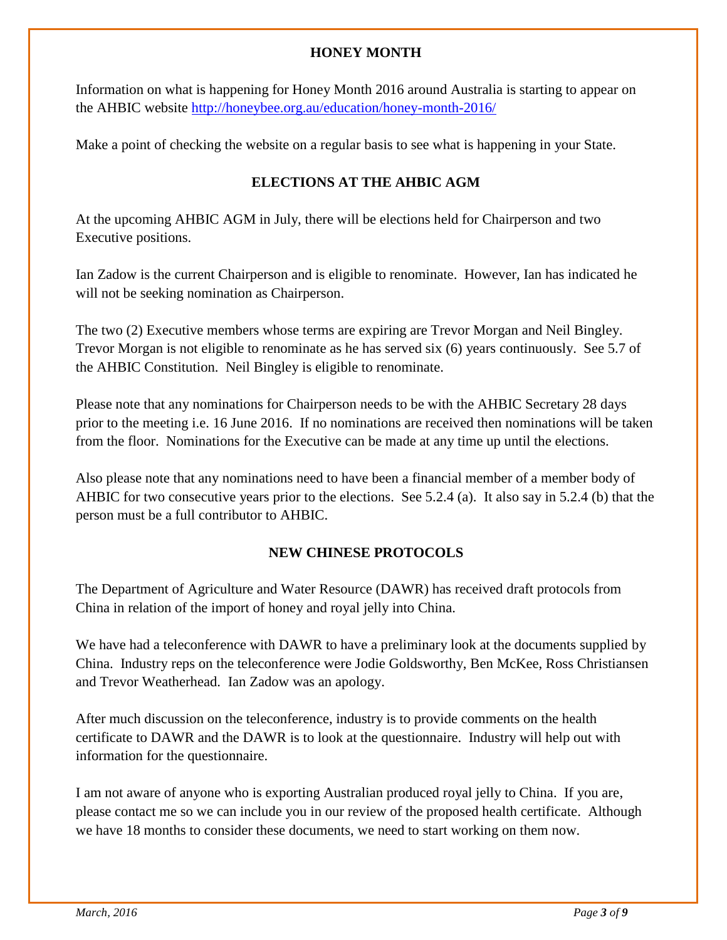#### **HONEY MONTH**

Information on what is happening for Honey Month 2016 around Australia is starting to appear on the AHBIC website<http://honeybee.org.au/education/honey-month-2016/>

Make a point of checking the website on a regular basis to see what is happening in your State.

#### **ELECTIONS AT THE AHBIC AGM**

At the upcoming AHBIC AGM in July, there will be elections held for Chairperson and two Executive positions.

Ian Zadow is the current Chairperson and is eligible to renominate. However, Ian has indicated he will not be seeking nomination as Chairperson.

The two (2) Executive members whose terms are expiring are Trevor Morgan and Neil Bingley. Trevor Morgan is not eligible to renominate as he has served six (6) years continuously. See 5.7 of the AHBIC Constitution. Neil Bingley is eligible to renominate.

Please note that any nominations for Chairperson needs to be with the AHBIC Secretary 28 days prior to the meeting i.e. 16 June 2016. If no nominations are received then nominations will be taken from the floor. Nominations for the Executive can be made at any time up until the elections.

Also please note that any nominations need to have been a financial member of a member body of AHBIC for two consecutive years prior to the elections. See 5.2.4 (a). It also say in 5.2.4 (b) that the person must be a full contributor to AHBIC.

#### **NEW CHINESE PROTOCOLS**

The Department of Agriculture and Water Resource (DAWR) has received draft protocols from China in relation of the import of honey and royal jelly into China.

We have had a teleconference with DAWR to have a preliminary look at the documents supplied by China. Industry reps on the teleconference were Jodie Goldsworthy, Ben McKee, Ross Christiansen and Trevor Weatherhead. Ian Zadow was an apology.

After much discussion on the teleconference, industry is to provide comments on the health certificate to DAWR and the DAWR is to look at the questionnaire. Industry will help out with information for the questionnaire.

I am not aware of anyone who is exporting Australian produced royal jelly to China. If you are, please contact me so we can include you in our review of the proposed health certificate. Although we have 18 months to consider these documents, we need to start working on them now.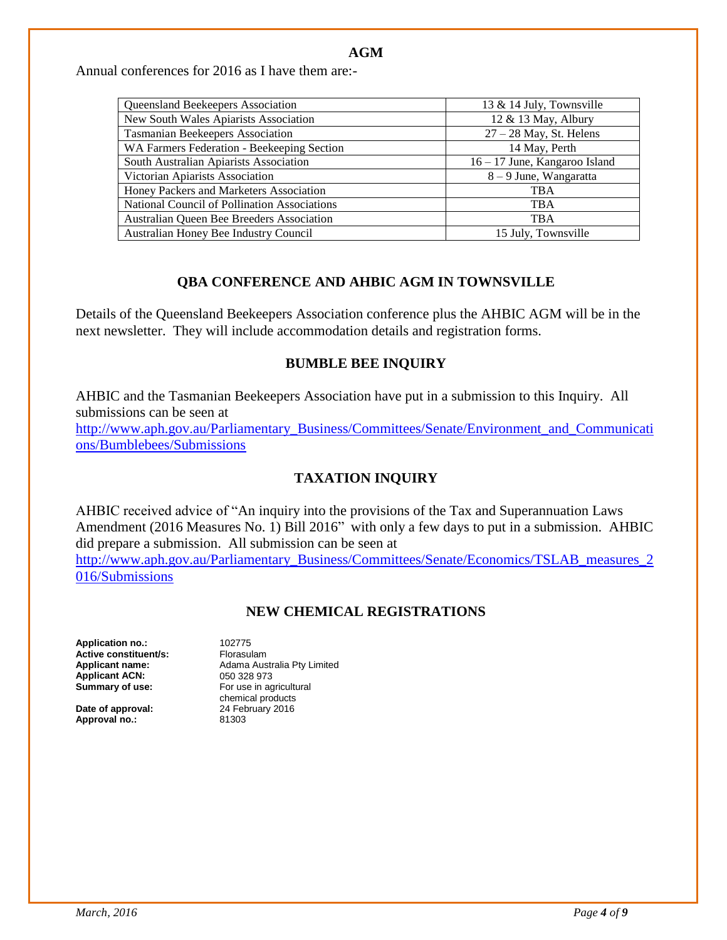#### **AGM**

Annual conferences for 2016 as I have them are:-

| Queensland Beekeepers Association            | 13 & 14 July, Townsville      |
|----------------------------------------------|-------------------------------|
| New South Wales Apiarists Association        | 12 & 13 May, Albury           |
| <b>Tasmanian Beekeepers Association</b>      | $27 - 28$ May, St. Helens     |
| WA Farmers Federation - Beekeeping Section   | 14 May, Perth                 |
| South Australian Apiarists Association       | 16 – 17 June, Kangaroo Island |
| Victorian Apiarists Association              | $8 - 9$ June, Wangaratta      |
| Honey Packers and Marketers Association      | <b>TBA</b>                    |
| National Council of Pollination Associations | <b>TBA</b>                    |
| Australian Queen Bee Breeders Association    | <b>TBA</b>                    |
| Australian Honey Bee Industry Council        | 15 July, Townsville           |

#### **QBA CONFERENCE AND AHBIC AGM IN TOWNSVILLE**

Details of the Queensland Beekeepers Association conference plus the AHBIC AGM will be in the next newsletter. They will include accommodation details and registration forms.

#### **BUMBLE BEE INQUIRY**

AHBIC and the Tasmanian Beekeepers Association have put in a submission to this Inquiry. All submissions can be seen at [http://www.aph.gov.au/Parliamentary\\_Business/Committees/Senate/Environment\\_and\\_Communicati](http://www.aph.gov.au/Parliamentary_Business/Committees/Senate/Environment_and_Communications/Bumblebees/Submissions) [ons/Bumblebees/Submissions](http://www.aph.gov.au/Parliamentary_Business/Committees/Senate/Environment_and_Communications/Bumblebees/Submissions)

#### **TAXATION INQUIRY**

AHBIC received advice of "An inquiry into the provisions of the Tax and Superannuation Laws Amendment (2016 Measures No. 1) Bill 2016" with only a few days to put in a submission. AHBIC did prepare a submission. All submission can be seen at

[http://www.aph.gov.au/Parliamentary\\_Business/Committees/Senate/Economics/TSLAB\\_measures\\_2](http://www.aph.gov.au/Parliamentary_Business/Committees/Senate/Economics/TSLAB_measures_2016/Submissions) [016/Submissions](http://www.aph.gov.au/Parliamentary_Business/Committees/Senate/Economics/TSLAB_measures_2016/Submissions)

#### **NEW CHEMICAL REGISTRATIONS**

**Application no.:** 102775 **Active constituent/s:** Florasulam<br> **Applicant name:** Adama Aus **Applicant ACN:**<br>Summary of use:

**Date of approval: Approval no.:** 81303

Adama Australia Pty Limited<br>050 328 973 **Summary of use:** For use in agricultural chemical products<br>24 February 2016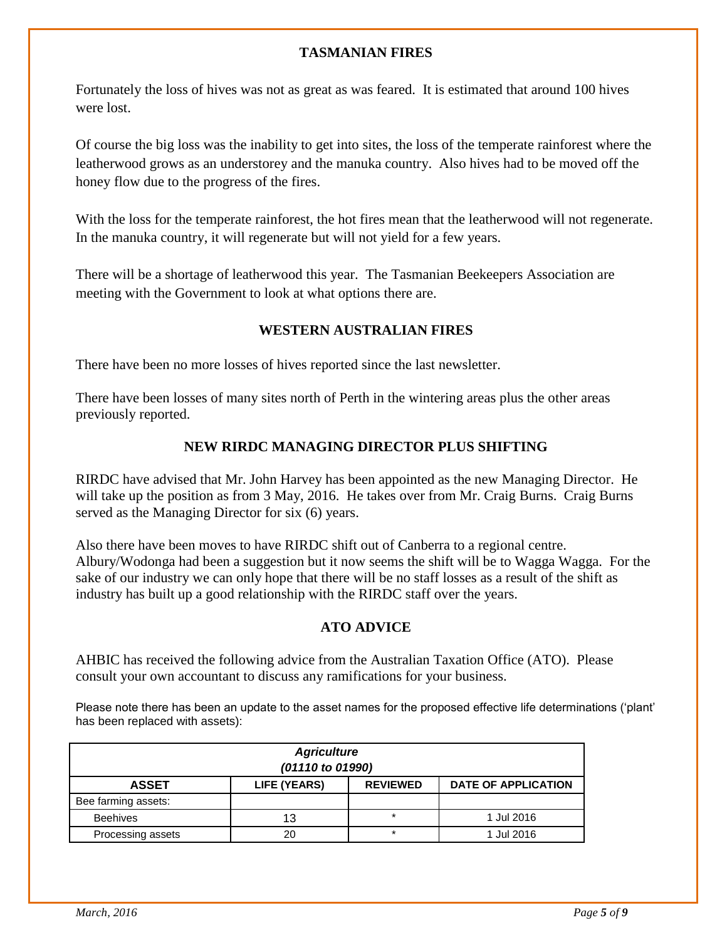#### **TASMANIAN FIRES**

Fortunately the loss of hives was not as great as was feared. It is estimated that around 100 hives were lost.

Of course the big loss was the inability to get into sites, the loss of the temperate rainforest where the leatherwood grows as an understorey and the manuka country. Also hives had to be moved off the honey flow due to the progress of the fires.

With the loss for the temperate rainforest, the hot fires mean that the leatherwood will not regenerate. In the manuka country, it will regenerate but will not yield for a few years.

There will be a shortage of leatherwood this year. The Tasmanian Beekeepers Association are meeting with the Government to look at what options there are.

#### **WESTERN AUSTRALIAN FIRES**

There have been no more losses of hives reported since the last newsletter.

There have been losses of many sites north of Perth in the wintering areas plus the other areas previously reported.

#### **NEW RIRDC MANAGING DIRECTOR PLUS SHIFTING**

RIRDC have advised that Mr. John Harvey has been appointed as the new Managing Director. He will take up the position as from 3 May, 2016. He takes over from Mr. Craig Burns. Craig Burns served as the Managing Director for six (6) years.

Also there have been moves to have RIRDC shift out of Canberra to a regional centre. Albury/Wodonga had been a suggestion but it now seems the shift will be to Wagga Wagga. For the sake of our industry we can only hope that there will be no staff losses as a result of the shift as industry has built up a good relationship with the RIRDC staff over the years.

#### **ATO ADVICE**

AHBIC has received the following advice from the Australian Taxation Office (ATO). Please consult your own accountant to discuss any ramifications for your business.

Please note there has been an update to the asset names for the proposed effective life determinations ('plant' has been replaced with assets):

| <b>Agriculture</b><br>(01110 to 01990) |              |                 |                            |  |
|----------------------------------------|--------------|-----------------|----------------------------|--|
| <b>ASSET</b>                           | LIFE (YEARS) | <b>REVIEWED</b> | <b>DATE OF APPLICATION</b> |  |
| Bee farming assets:                    |              |                 |                            |  |
| <b>Beehives</b>                        | 13           | $\star$         | 1 Jul 2016                 |  |
| Processing assets                      | 20           | $\star$         | 1 Jul 2016                 |  |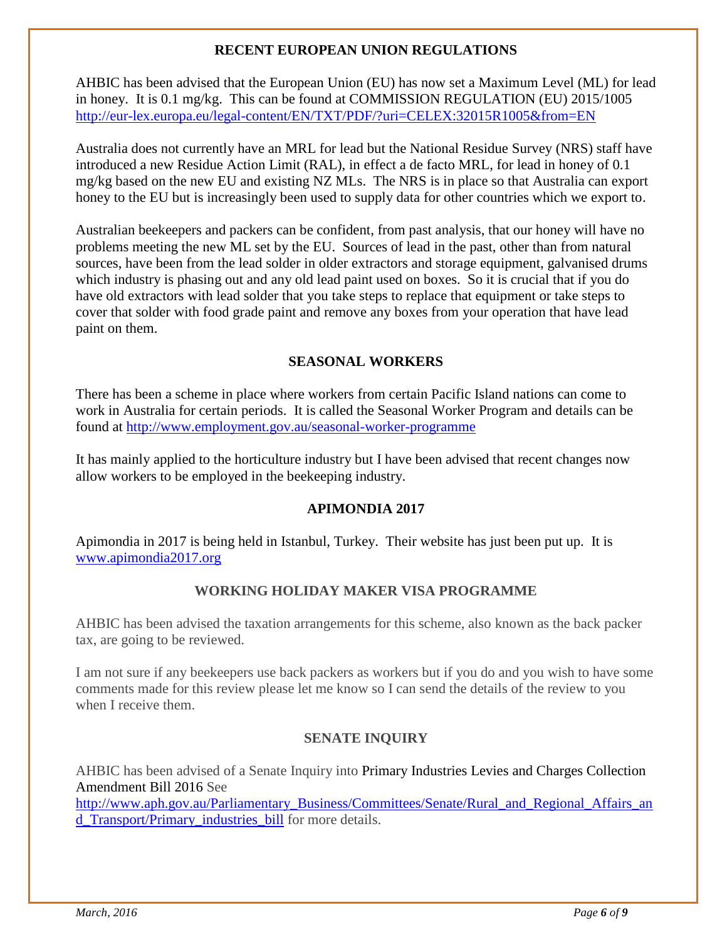#### **RECENT EUROPEAN UNION REGULATIONS**

AHBIC has been advised that the European Union (EU) has now set a Maximum Level (ML) for lead in honey. It is 0.1 mg/kg. This can be found at COMMISSION REGULATION (EU) 2015/1005 <http://eur-lex.europa.eu/legal-content/EN/TXT/PDF/?uri=CELEX:32015R1005&from=EN>

Australia does not currently have an MRL for lead but the National Residue Survey (NRS) staff have introduced a new Residue Action Limit (RAL), in effect a de facto MRL, for lead in honey of 0.1 mg/kg based on the new EU and existing NZ MLs. The NRS is in place so that Australia can export honey to the EU but is increasingly been used to supply data for other countries which we export to.

Australian beekeepers and packers can be confident, from past analysis, that our honey will have no problems meeting the new ML set by the EU. Sources of lead in the past, other than from natural sources, have been from the lead solder in older extractors and storage equipment, galvanised drums which industry is phasing out and any old lead paint used on boxes. So it is crucial that if you do have old extractors with lead solder that you take steps to replace that equipment or take steps to cover that solder with food grade paint and remove any boxes from your operation that have lead paint on them.

#### **SEASONAL WORKERS**

There has been a scheme in place where workers from certain Pacific Island nations can come to work in Australia for certain periods. It is called the Seasonal Worker Program and details can be found at<http://www.employment.gov.au/seasonal-worker-programme>

It has mainly applied to the horticulture industry but I have been advised that recent changes now allow workers to be employed in the beekeeping industry.

#### **APIMONDIA 2017**

Apimondia in 2017 is being held in Istanbul, Turkey. Their website has just been put up. It is [www.apimondia2017.org](http://www.apimondia2017.org/)

#### **WORKING HOLIDAY MAKER VISA PROGRAMME**

AHBIC has been advised the taxation arrangements for this scheme, also known as the back packer tax, are going to be reviewed.

I am not sure if any beekeepers use back packers as workers but if you do and you wish to have some comments made for this review please let me know so I can send the details of the review to you when I receive them.

#### **SENATE INQUIRY**

AHBIC has been advised of a Senate Inquiry into Primary Industries Levies and Charges Collection Amendment Bill 2016 See

[http://www.aph.gov.au/Parliamentary\\_Business/Committees/Senate/Rural\\_and\\_Regional\\_Affairs\\_an](http://www.aph.gov.au/Parliamentary_Business/Committees/Senate/Rural_and_Regional_Affairs_and_Transport/Primary_industries_bill) [d\\_Transport/Primary\\_industries\\_bill](http://www.aph.gov.au/Parliamentary_Business/Committees/Senate/Rural_and_Regional_Affairs_and_Transport/Primary_industries_bill) for more details.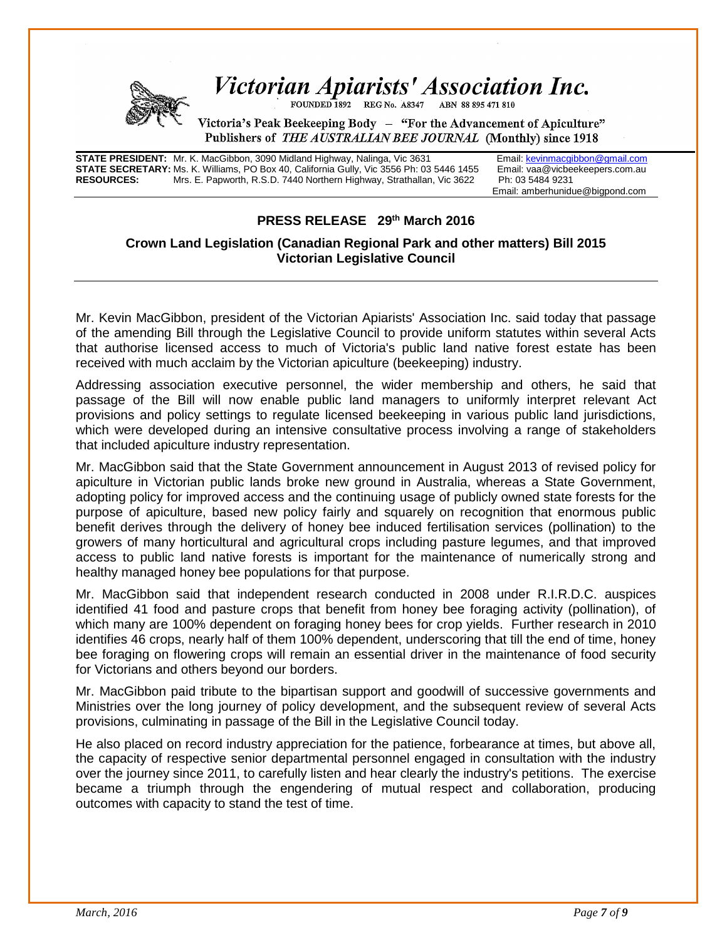

## Victorian Apiarists' Association Inc.

FOUNDED 1892 REG No. A8347 ABN 88 895 471 810

Victoria's Peak Beekeeping Body - "For the Advancement of Apiculture" Publishers of *THE AUSTRALIAN BEE JOURNAL* (Monthly) since 1918

**STATE PRESIDENT:** Mr. K. MacGibbon, 3090 Midland Highway, Nalinga, Vic 3631 Email[: kevinmacgibbon@gmail.com](mailto:kevinmacgibbon@gmail.com)<br>**STATE SECRETARY:** Ms. K. Williams, PO Box 40, California Gully, Vic 3556 Ph: 03 5446 1455 Email: vaa@vicbeekeepe **STATE SECRETARY:** Ms. K. Williams, PO Box 40, California Gully, Vic 3556 Ph: 03 5446 1455 Email: vaa@vicbe<br>**RESOURCES:** Mrs. F. Papworth, R.S.D. 7440 Northern Highway, Strathallan, Vic 3622 Ph: 03 5484 9231 Mrs. E. Papworth, R.S.D. 7440 Northern Highway, Strathallan, Vic 3622

Email: amberhunidue@bigpond.com

#### **PRESS RELEASE 29th March 2016**

#### **Crown Land Legislation (Canadian Regional Park and other matters) Bill 2015 Victorian Legislative Council**

Mr. Kevin MacGibbon, president of the Victorian Apiarists' Association Inc. said today that passage of the amending Bill through the Legislative Council to provide uniform statutes within several Acts that authorise licensed access to much of Victoria's public land native forest estate has been received with much acclaim by the Victorian apiculture (beekeeping) industry.

Addressing association executive personnel, the wider membership and others, he said that passage of the Bill will now enable public land managers to uniformly interpret relevant Act provisions and policy settings to regulate licensed beekeeping in various public land jurisdictions, which were developed during an intensive consultative process involving a range of stakeholders that included apiculture industry representation.

Mr. MacGibbon said that the State Government announcement in August 2013 of revised policy for apiculture in Victorian public lands broke new ground in Australia, whereas a State Government, adopting policy for improved access and the continuing usage of publicly owned state forests for the purpose of apiculture, based new policy fairly and squarely on recognition that enormous public benefit derives through the delivery of honey bee induced fertilisation services (pollination) to the growers of many horticultural and agricultural crops including pasture legumes, and that improved access to public land native forests is important for the maintenance of numerically strong and healthy managed honey bee populations for that purpose.

Mr. MacGibbon said that independent research conducted in 2008 under R.I.R.D.C. auspices identified 41 food and pasture crops that benefit from honey bee foraging activity (pollination), of which many are 100% dependent on foraging honey bees for crop yields. Further research in 2010 identifies 46 crops, nearly half of them 100% dependent, underscoring that till the end of time, honey bee foraging on flowering crops will remain an essential driver in the maintenance of food security for Victorians and others beyond our borders.

Mr. MacGibbon paid tribute to the bipartisan support and goodwill of successive governments and Ministries over the long journey of policy development, and the subsequent review of several Acts provisions, culminating in passage of the Bill in the Legislative Council today.

He also placed on record industry appreciation for the patience, forbearance at times, but above all, the capacity of respective senior departmental personnel engaged in consultation with the industry over the journey since 2011, to carefully listen and hear clearly the industry's petitions. The exercise became a triumph through the engendering of mutual respect and collaboration, producing outcomes with capacity to stand the test of time.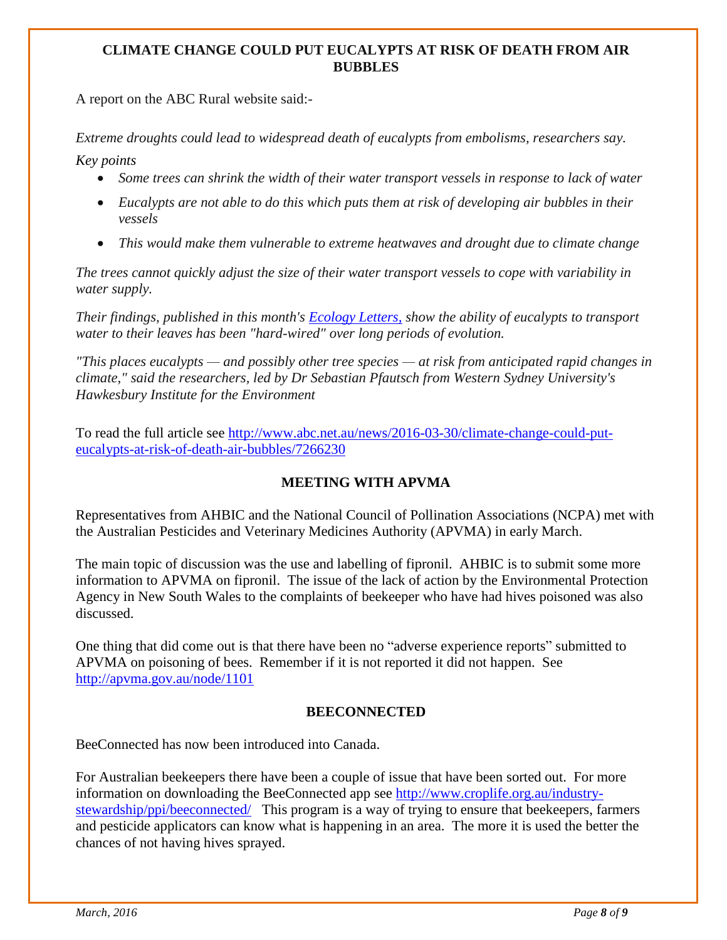#### **CLIMATE CHANGE COULD PUT EUCALYPTS AT RISK OF DEATH FROM AIR BUBBLES**

A report on the ABC Rural website said:-

*Extreme droughts could lead to widespread death of eucalypts from embolisms, researchers say.*

*Key points*

- *Some trees can shrink the width of their water transport vessels in response to lack of water*
- *Eucalypts are not able to do this which puts them at risk of developing air bubbles in their vessels*
- *This would make them vulnerable to extreme heatwaves and drought due to climate change*

*The trees cannot quickly adjust the size of their water transport vessels to cope with variability in water supply.*

*Their findings, published in this month's [Ecology Letters,](http://dx.doi.org/10.1111/ele.12559) show the ability of eucalypts to transport water to their leaves has been "hard-wired" over long periods of evolution.*

*"This places eucalypts — and possibly other tree species — at risk from anticipated rapid changes in climate," said the researchers, led by Dr Sebastian Pfautsch from Western Sydney University's Hawkesbury Institute for the Environment*

To read the full article see [http://www.abc.net.au/news/2016-03-30/climate-change-could-put](http://www.abc.net.au/news/2016-03-30/climate-change-could-put-eucalypts-at-risk-of-death-air-bubbles/7266230)[eucalypts-at-risk-of-death-air-bubbles/7266230](http://www.abc.net.au/news/2016-03-30/climate-change-could-put-eucalypts-at-risk-of-death-air-bubbles/7266230)

#### **MEETING WITH APVMA**

Representatives from AHBIC and the National Council of Pollination Associations (NCPA) met with the Australian Pesticides and Veterinary Medicines Authority (APVMA) in early March.

The main topic of discussion was the use and labelling of fipronil. AHBIC is to submit some more information to APVMA on fipronil. The issue of the lack of action by the Environmental Protection Agency in New South Wales to the complaints of beekeeper who have had hives poisoned was also discussed.

One thing that did come out is that there have been no "adverse experience reports" submitted to APVMA on poisoning of bees. Remember if it is not reported it did not happen. See <http://apvma.gov.au/node/1101>

#### **BEECONNECTED**

BeeConnected has now been introduced into Canada.

For Australian beekeepers there have been a couple of issue that have been sorted out. For more information on downloading the BeeConnected app see [http://www.croplife.org.au/industry](http://www.croplife.org.au/industry-stewardship/ppi/beeconnected/)[stewardship/ppi/beeconnected/](http://www.croplife.org.au/industry-stewardship/ppi/beeconnected/) This program is a way of trying to ensure that beekeepers, farmers and pesticide applicators can know what is happening in an area. The more it is used the better the chances of not having hives sprayed.